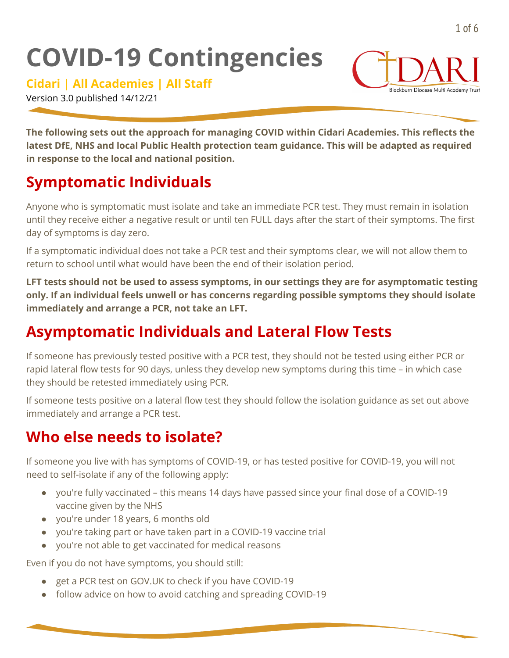# **COVID-19 Contingencies**

**Cidari | All Academies | All Staff**

Version 3.0 published 14/12/21

**The following sets out the approach for managing COVID within Cidari Academies. This reflects the latest DfE, NHS and local Public Health protection team guidance. This will be adapted as required in response to the local and national position.**

# **Symptomatic Individuals**

Anyone who is symptomatic must isolate and take an immediate PCR test. They must remain in isolation until they receive either a negative result or until ten FULL days after the start of their symptoms. The first day of symptoms is day zero.

If a symptomatic individual does not take a PCR test and their symptoms clear, we will not allow them to return to school until what would have been the end of their isolation period.

**LFT tests should not be used to assess symptoms, in our settings they are for asymptomatic testing only. If an individual feels unwell or has concerns regarding possible symptoms they should isolate immediately and arrange a PCR, not take an LFT.**

# **Asymptomatic Individuals and Lateral Flow Tests**

If someone has previously tested positive with a PCR test, they should not be tested using either PCR or rapid lateral flow tests for 90 days, unless they develop new symptoms during this time – in which case they should be retested immediately using PCR.

If someone tests positive on a lateral flow test they should follow the isolation guidance as set out above immediately and arrange a PCR test.

# **Who else needs to isolate?**

If someone you live with has symptoms of COVID-19, or has tested positive for COVID-19, you will not need to self-isolate if any of the following apply:

- you're fully vaccinated this means 14 days have passed since your final dose of a COVID-19 vaccine given by the NHS
- you're under 18 years, 6 months old
- you're taking part or have taken part in a COVID-19 vaccine trial
- you're not able to get vaccinated for medical reasons

Even if you do not have symptoms, you should still:

- get a PCR test on GOV.UK to check if you have COVID-19
- follow advice on how to avoid catching and spreading COVID-19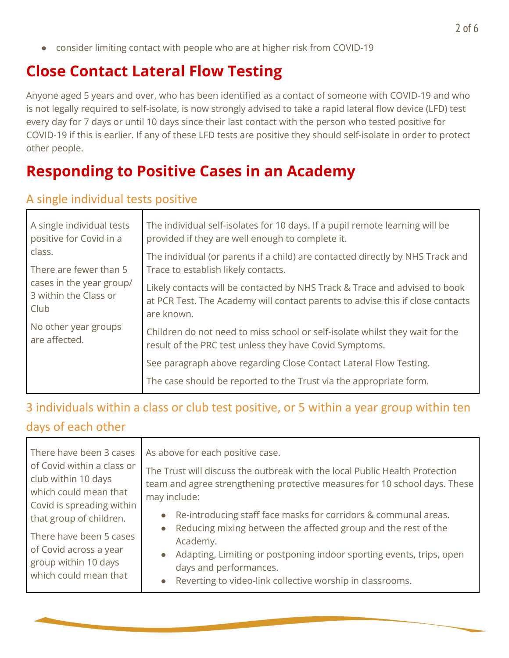● consider limiting contact with people who are at higher risk from COVID-19

## **Close Contact Lateral Flow Testing**

Anyone aged 5 years and over, who has been identified as a contact of someone with COVID-19 and who is not legally required to self-isolate, is now strongly advised to take a rapid lateral flow device (LFD) test every day for 7 days or until 10 days since their last contact with the person who tested positive for COVID-19 if this is earlier. If any of these LFD tests are positive they should self-isolate in order to protect other people.

## **Responding to Positive Cases in an Academy**

#### A single individual tests positive

| A single individual tests<br>positive for Covid in a<br>class.<br>There are fewer than 5<br>cases in the year group/<br>3 within the Class or<br>Club<br>No other year groups<br>are affected. | The individual self-isolates for 10 days. If a pupil remote learning will be<br>provided if they are well enough to complete it.                                           |
|------------------------------------------------------------------------------------------------------------------------------------------------------------------------------------------------|----------------------------------------------------------------------------------------------------------------------------------------------------------------------------|
|                                                                                                                                                                                                | The individual (or parents if a child) are contacted directly by NHS Track and<br>Trace to establish likely contacts.                                                      |
|                                                                                                                                                                                                | Likely contacts will be contacted by NHS Track & Trace and advised to book<br>at PCR Test. The Academy will contact parents to advise this if close contacts<br>are known. |
|                                                                                                                                                                                                | Children do not need to miss school or self-isolate whilst they wait for the<br>result of the PRC test unless they have Covid Symptoms.                                    |
|                                                                                                                                                                                                | See paragraph above regarding Close Contact Lateral Flow Testing.                                                                                                          |
|                                                                                                                                                                                                | The case should be reported to the Trust via the appropriate form.                                                                                                         |

## 3 individuals within a class or club test positive, or 5 within a year group within ten days of each other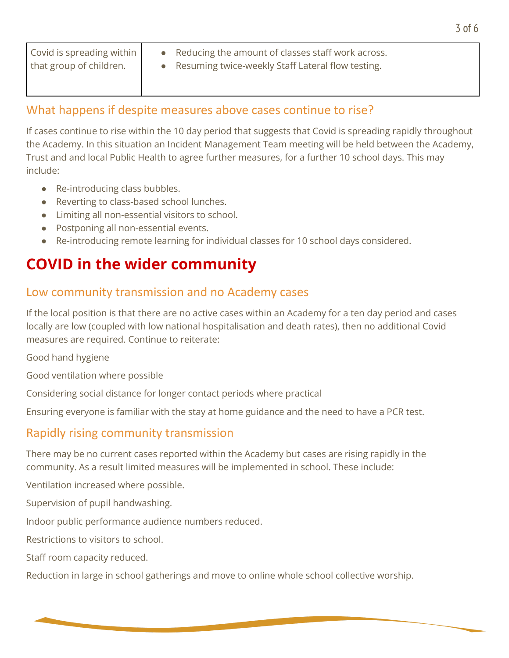| Covid is spreading within<br>that group of children. | • Reducing the amount of classes staff work across.<br>Resuming twice-weekly Staff Lateral flow testing. |
|------------------------------------------------------|----------------------------------------------------------------------------------------------------------|
|                                                      |                                                                                                          |

#### What happens if despite measures above cases continue to rise?

If cases continue to rise within the 10 day period that suggests that Covid is spreading rapidly throughout the Academy. In this situation an Incident Management Team meeting will be held between the Academy, Trust and and local Public Health to agree further measures, for a further 10 school days. This may include:

- Re-introducing class bubbles.
- Reverting to class-based school lunches.
- Limiting all non-essential visitors to school.
- Postponing all non-essential events.
- Re-introducing remote learning for individual classes for 10 school days considered.

## **COVID in the wider community**

#### Low community transmission and no Academy cases

If the local position is that there are no active cases within an Academy for a ten day period and cases locally are low (coupled with low national hospitalisation and death rates), then no additional Covid measures are required. Continue to reiterate:

Good hand hygiene

Good ventilation where possible

Considering social distance for longer contact periods where practical

Ensuring everyone is familiar with the stay at home guidance and the need to have a PCR test.

## Rapidly rising community transmission

There may be no current cases reported within the Academy but cases are rising rapidly in the community. As a result limited measures will be implemented in school. These include:

Ventilation increased where possible.

Supervision of pupil handwashing.

Indoor public performance audience numbers reduced.

Restrictions to visitors to school.

Staff room capacity reduced.

Reduction in large in school gatherings and move to online whole school collective worship.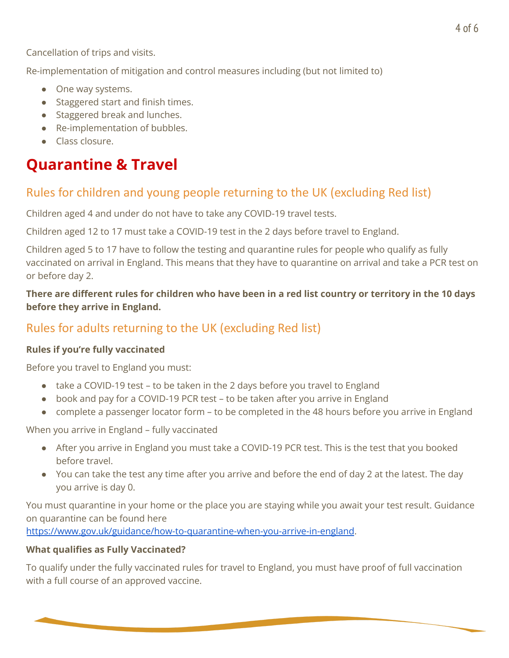Cancellation of trips and visits.

Re-implementation of mitigation and control measures including (but not limited to)

- One way systems.
- Staggered start and finish times.
- Staggered break and lunches.
- Re-implementation of bubbles.
- Class closure.

## **Quarantine & Travel**

### Rules for children and young people returning to the UK (excluding Red list)

Children aged 4 and under do not have to take any COVID-19 travel tests.

Children aged 12 to 17 must take a COVID-19 test in the 2 days before travel to England.

Children aged 5 to 17 have to follow the testing and quarantine rules for people who qualify as fully vaccinated on arrival in England. This means that they have to quarantine on arrival and take a PCR test on or before day 2.

There are different rules for children who have been in a red list country or territory in the 10 days **before they arrive in England.**

### Rules for adults returning to the UK (excluding Red list)

#### **Rules if you're fully vaccinated**

Before you travel to England you must:

- take a COVID-19 test to be taken in the 2 days before you travel to England
- book and pay for a COVID-19 PCR test to be taken after you arrive in England
- complete a passenger locator form to be completed in the 48 hours before you arrive in England

When you arrive in England – fully vaccinated

- After you arrive in England you must take a COVID-19 PCR test. This is the test that you booked before travel.
- You can take the test any time after you arrive and before the end of day 2 at the latest. The day you arrive is day 0.

You must quarantine in your home or the place you are staying while you await your test result. Guidance on quarantine can be found here

<https://www.gov.uk/guidance/how-to-quarantine-when-you-arrive-in-england>.

#### **What qualifies as Fully Vaccinated?**

To qualify under the fully vaccinated rules for travel to England, you must have proof of full vaccination with a full course of an approved vaccine.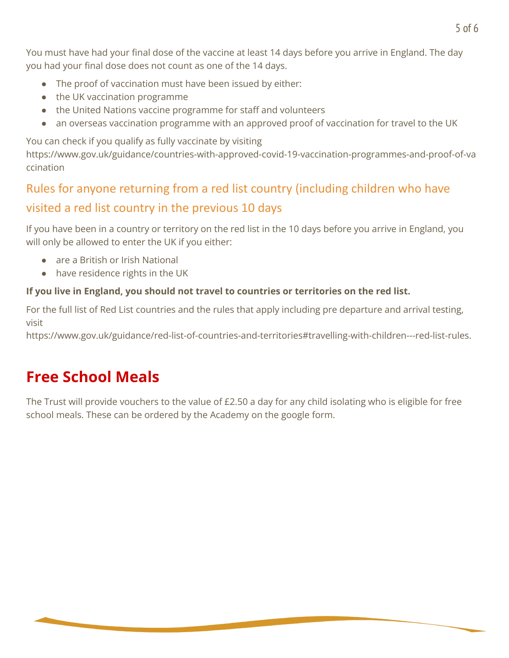You must have had your final dose of the vaccine at least 14 days before you arrive in England. The day you had your final dose does not count as one of the 14 days.

- The proof of vaccination must have been issued by either:
- the UK vaccination programme
- the United Nations vaccine programme for staff and volunteers
- an overseas vaccination programme with an approved proof of vaccination for travel to the UK

You can check if you qualify as fully vaccinate by visiting

https://www.gov.uk/guidance/countries-with-approved-covid-19-vaccination-programmes-and-proof-of-va ccination

## Rules for anyone returning from a red list country (including children who have visited a red list country in the previous 10 days

If you have been in a country or territory on the red list in the 10 days before you arrive in England, you will only be allowed to enter the UK if you either:

- are a British or Irish National
- have residence rights in the UK

#### **If you live in England, you should not travel to countries or territories on the red list.**

For the full list of Red List countries and the rules that apply including pre departure and arrival testing, visit

https://www.gov.uk/guidance/red-list-of-countries-and-territories#travelling-with-children---red-list-rules.

# **Free School Meals**

The Trust will provide vouchers to the value of £2.50 a day for any child isolating who is eligible for free school meals. These can be ordered by the Academy on the google form.